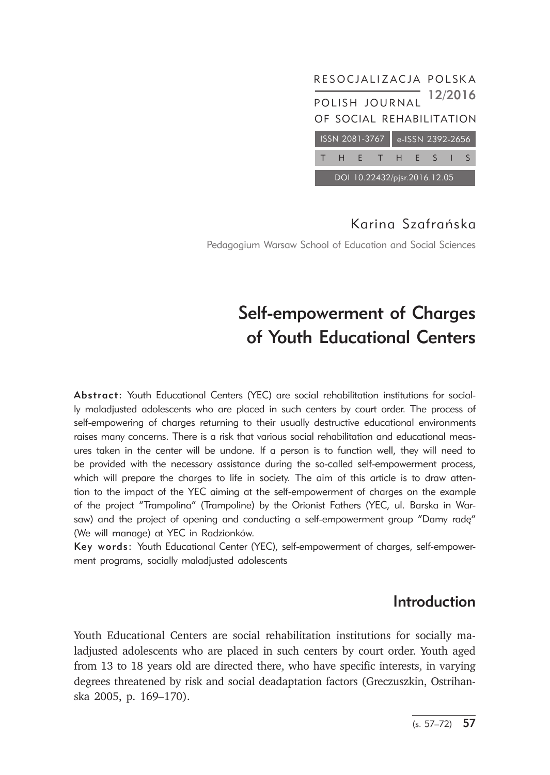

Pedagogium Warsaw School of Education and Social Sciences

# Self-empowerment of Charges of Youth Educational Centers

Abstract: Youth Educational Centers (YEC) are social rehabilitation institutions for socially maladjusted adolescents who are placed in such centers by court order. The process of self-empowering of charges returning to their usually destructive educational environments raises many concerns. There is a risk that various social rehabilitation and educational measures taken in the center will be undone. If a person is to function well, they will need to be provided with the necessary assistance during the so-called self-empowerment process, which will prepare the charges to life in society. The aim of this article is to draw attention to the impact of the YEC aiming at the self-empowerment of charges on the example of the project "Trampolina" (Trampoline) by the Orionist Fathers (YEC, ul. Barska in Warsaw) and the project of opening and conducting a self-empowerment group "Damy radę" (We will manage) at YEC in Radzionków.

Key words: Youth Educational Center (YEC), self-empowerment of charges, self-empowerment programs, socially maladjusted adolescents

## Introduction

Youth Educational Centers are social rehabilitation institutions for socially maladjusted adolescents who are placed in such centers by court order. Youth aged from 13 to 18 years old are directed there, who have specific interests, in varying degrees threatened by risk and social deadaptation factors (Greczuszkin, Ostrihanska 2005, p. 169–170).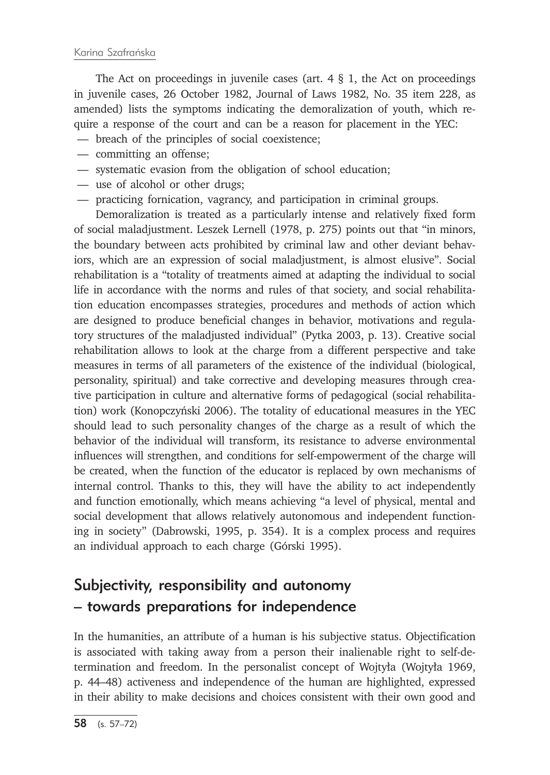The Act on proceedings in juvenile cases (art.  $4 \tS 1$ , the Act on proceedings in juvenile cases, 26 October 1982, Journal of Laws 1982, No. 35 item 228, as amended) lists the symptoms indicating the demoralization of youth, which require a response of the court and can be a reason for placement in the YEC:

- breach of the principles of social coexistence;
- committing an offense;
- systematic evasion from the obligation of school education;
- use of alcohol or other drugs;
- practicing fornication, vagrancy, and participation in criminal groups.

Demoralization is treated as a particularly intense and relatively fixed form of social maladjustment. Leszek Lernell (1978, p. 275) points out that "in minors, the boundary between acts prohibited by criminal law and other deviant behaviors, which are an expression of social maladjustment, is almost elusive". Social rehabilitation is a "totality of treatments aimed at adapting the individual to social life in accordance with the norms and rules of that society, and social rehabilitation education encompasses strategies, procedures and methods of action which are designed to produce beneficial changes in behavior, motivations and regulatory structures of the maladjusted individual" (Pytka 2003, p. 13). Creative social rehabilitation allows to look at the charge from a different perspective and take measures in terms of all parameters of the existence of the individual (biological, personality, spiritual) and take corrective and developing measures through creative participation in culture and alternative forms of pedagogical (social rehabilitation) work (Konopczyński 2006). The totality of educational measures in the YEC should lead to such personality changes of the charge as a result of which the behavior of the individual will transform, its resistance to adverse environmental influences will strengthen, and conditions for self-empowerment of the charge will be created, when the function of the educator is replaced by own mechanisms of internal control. Thanks to this, they will have the ability to act independently and function emotionally, which means achieving "a level of physical, mental and social development that allows relatively autonomous and independent functioning in society" (Dabrowski, 1995, p. 354). It is a complex process and requires an individual approach to each charge (Górski 1995).

## Subjectivity, responsibility and autonomy – towards preparations for independence

In the humanities, an attribute of a human is his subjective status. Objectification is associated with taking away from a person their inalienable right to self-determination and freedom. In the personalist concept of Wojtyła (Wojtyła 1969, p. 44–48) activeness and independence of the human are highlighted, expressed in their ability to make decisions and choices consistent with their own good and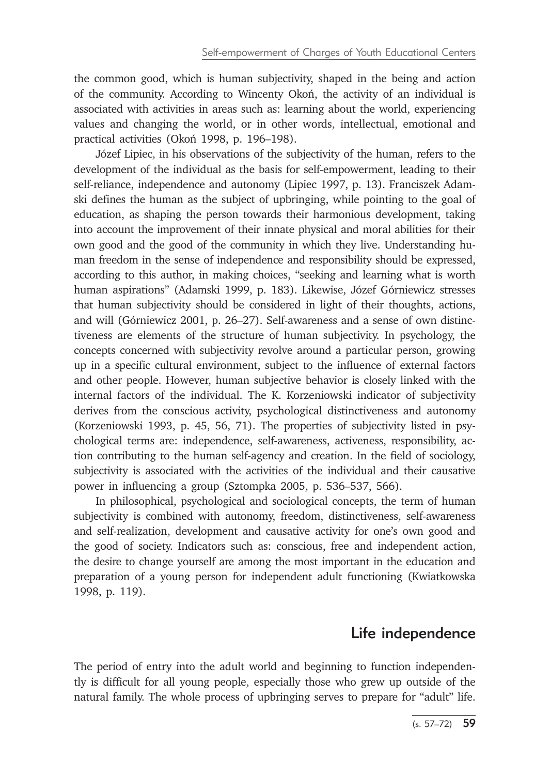the common good, which is human subjectivity, shaped in the being and action of the community. According to Wincenty Okoń, the activity of an individual is associated with activities in areas such as: learning about the world, experiencing values and changing the world, or in other words, intellectual, emotional and practical activities (Okoń 1998, p. 196–198).

Józef Lipiec, in his observations of the subjectivity of the human, refers to the development of the individual as the basis for self-empowerment, leading to their self-reliance, independence and autonomy (Lipiec 1997, p. 13). Franciszek Adamski defines the human as the subject of upbringing, while pointing to the goal of education, as shaping the person towards their harmonious development, taking into account the improvement of their innate physical and moral abilities for their own good and the good of the community in which they live. Understanding human freedom in the sense of independence and responsibility should be expressed, according to this author, in making choices, "seeking and learning what is worth human aspirations" (Adamski 1999, p. 183). Likewise, Józef Górniewicz stresses that human subjectivity should be considered in light of their thoughts, actions, and will (Górniewicz 2001, p. 26–27). Self-awareness and a sense of own distinctiveness are elements of the structure of human subjectivity. In psychology, the concepts concerned with subjectivity revolve around a particular person, growing up in a specific cultural environment, subject to the influence of external factors and other people. However, human subjective behavior is closely linked with the internal factors of the individual. The K. Korzeniowski indicator of subjectivity derives from the conscious activity, psychological distinctiveness and autonomy (Korzeniowski 1993, p. 45, 56, 71). The properties of subjectivity listed in psychological terms are: independence, self-awareness, activeness, responsibility, action contributing to the human self-agency and creation. In the field of sociology, subjectivity is associated with the activities of the individual and their causative power in influencing a group (Sztompka 2005, p. 536–537, 566).

In philosophical, psychological and sociological concepts, the term of human subjectivity is combined with autonomy, freedom, distinctiveness, self-awareness and self-realization, development and causative activity for one's own good and the good of society. Indicators such as: conscious, free and independent action, the desire to change yourself are among the most important in the education and preparation of a young person for independent adult functioning (Kwiatkowska 1998, p. 119).

### Life independence

The period of entry into the adult world and beginning to function independently is difficult for all young people, especially those who grew up outside of the natural family. The whole process of upbringing serves to prepare for "adult" life.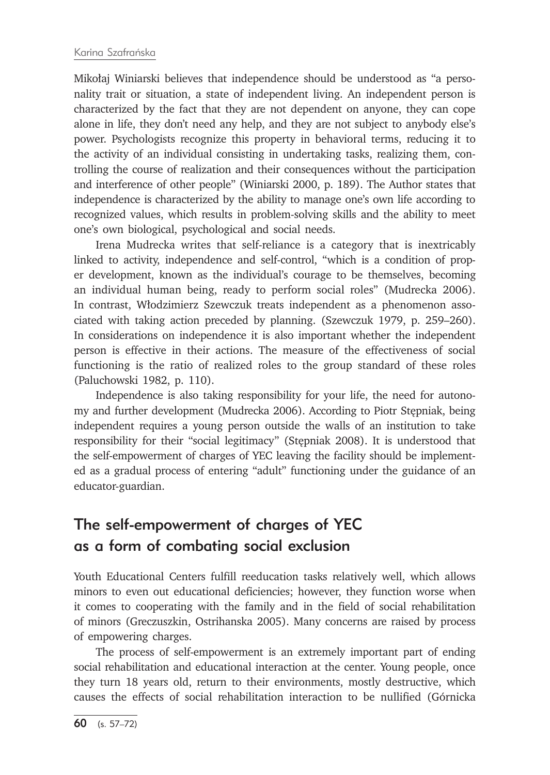Mikołaj Winiarski believes that independence should be understood as "a personality trait or situation, a state of independent living. An independent person is characterized by the fact that they are not dependent on anyone, they can cope alone in life, they don't need any help, and they are not subject to anybody else's power. Psychologists recognize this property in behavioral terms, reducing it to the activity of an individual consisting in undertaking tasks, realizing them, controlling the course of realization and their consequences without the participation and interference of other people" (Winiarski 2000, p. 189). The Author states that independence is characterized by the ability to manage one's own life according to recognized values, which results in problem-solving skills and the ability to meet one's own biological, psychological and social needs.

Irena Mudrecka writes that self-reliance is a category that is inextricably linked to activity, independence and self-control, "which is a condition of proper development, known as the individual's courage to be themselves, becoming an individual human being, ready to perform social roles" (Mudrecka 2006). In contrast, Włodzimierz Szewczuk treats independent as a phenomenon associated with taking action preceded by planning. (Szewczuk 1979, p. 259–260). In considerations on independence it is also important whether the independent person is effective in their actions. The measure of the effectiveness of social functioning is the ratio of realized roles to the group standard of these roles (Paluchowski 1982, p. 110).

Independence is also taking responsibility for your life, the need for autonomy and further development (Mudrecka 2006). According to Piotr Stępniak, being independent requires a young person outside the walls of an institution to take responsibility for their "social legitimacy" (Stępniak 2008). It is understood that the self-empowerment of charges of YEC leaving the facility should be implemented as a gradual process of entering "adult" functioning under the guidance of an educator-guardian.

## The self-empowerment of charges of YEC as a form of combating social exclusion

Youth Educational Centers fulfill reeducation tasks relatively well, which allows minors to even out educational deficiencies; however, they function worse when it comes to cooperating with the family and in the field of social rehabilitation of minors (Greczuszkin, Ostrihanska 2005). Many concerns are raised by process of empowering charges.

The process of self-empowerment is an extremely important part of ending social rehabilitation and educational interaction at the center. Young people, once they turn 18 years old, return to their environments, mostly destructive, which causes the effects of social rehabilitation interaction to be nullified (Górnicka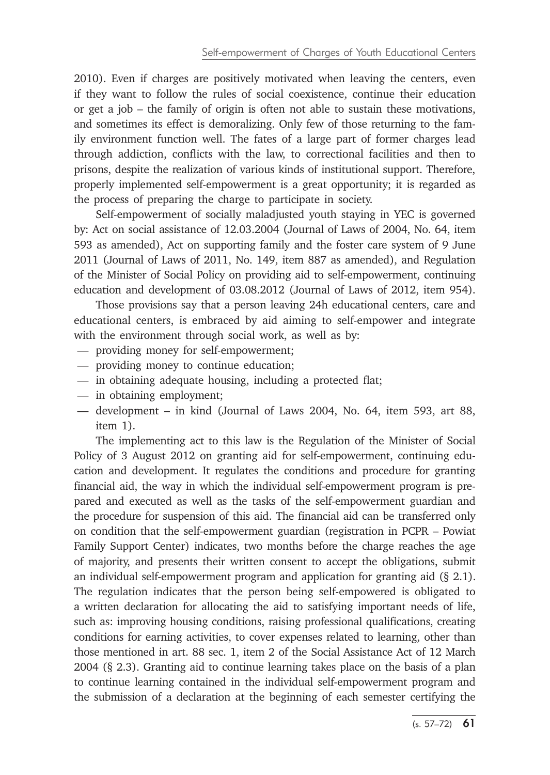2010). Even if charges are positively motivated when leaving the centers, even if they want to follow the rules of social coexistence, continue their education or get a job – the family of origin is often not able to sustain these motivations, and sometimes its effect is demoralizing. Only few of those returning to the family environment function well. The fates of a large part of former charges lead through addiction, conflicts with the law, to correctional facilities and then to prisons, despite the realization of various kinds of institutional support. Therefore, properly implemented self-empowerment is a great opportunity; it is regarded as the process of preparing the charge to participate in society.

Self-empowerment of socially maladjusted youth staying in YEC is governed by: Act on social assistance of 12.03.2004 (Journal of Laws of 2004, No. 64, item 593 as amended), Act on supporting family and the foster care system of 9 June 2011 (Journal of Laws of 2011, No. 149, item 887 as amended), and Regulation of the Minister of Social Policy on providing aid to self-empowerment, continuing education and development of 03.08.2012 (Journal of Laws of 2012, item 954).

Those provisions say that a person leaving 24h educational centers, care and educational centers, is embraced by aid aiming to self-empower and integrate with the environment through social work, as well as by:

- providing money for self-empowerment;
- providing money to continue education;
- in obtaining adequate housing, including a protected flat;
- in obtaining employment;
- development in kind (Journal of Laws 2004, No. 64, item 593, art 88, item 1).

The implementing act to this law is the Regulation of the Minister of Social Policy of 3 August 2012 on granting aid for self-empowerment, continuing education and development. It regulates the conditions and procedure for granting financial aid, the way in which the individual self-empowerment program is prepared and executed as well as the tasks of the self-empowerment guardian and the procedure for suspension of this aid. The financial aid can be transferred only on condition that the self-empowerment guardian (registration in PCPR – Powiat Family Support Center) indicates, two months before the charge reaches the age of majority, and presents their written consent to accept the obligations, submit an individual self-empowerment program and application for granting aid (§ 2.1). The regulation indicates that the person being self-empowered is obligated to a written declaration for allocating the aid to satisfying important needs of life, such as: improving housing conditions, raising professional qualifications, creating conditions for earning activities, to cover expenses related to learning, other than those mentioned in art. 88 sec. 1, item 2 of the Social Assistance Act of 12 March 2004 (§ 2.3). Granting aid to continue learning takes place on the basis of a plan to continue learning contained in the individual self-empowerment program and the submission of a declaration at the beginning of each semester certifying the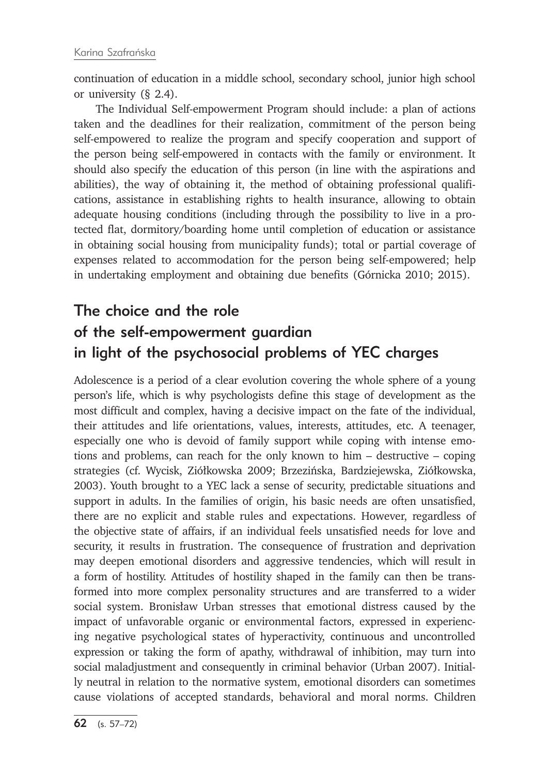continuation of education in a middle school, secondary school, junior high school or university (§ 2.4).

The Individual Self-empowerment Program should include: a plan of actions taken and the deadlines for their realization, commitment of the person being self-empowered to realize the program and specify cooperation and support of the person being self-empowered in contacts with the family or environment. It should also specify the education of this person (in line with the aspirations and abilities), the way of obtaining it, the method of obtaining professional qualifications, assistance in establishing rights to health insurance, allowing to obtain adequate housing conditions (including through the possibility to live in a protected flat, dormitory/boarding home until completion of education or assistance in obtaining social housing from municipality funds); total or partial coverage of expenses related to accommodation for the person being self-empowered; help in undertaking employment and obtaining due benefits (Górnicka 2010; 2015).

## The choice and the role of the self-empowerment guardian in light of the psychosocial problems of YEC charges

Adolescence is a period of a clear evolution covering the whole sphere of a young person's life, which is why psychologists define this stage of development as the most difficult and complex, having a decisive impact on the fate of the individual, their attitudes and life orientations, values, interests, attitudes, etc. A teenager, especially one who is devoid of family support while coping with intense emotions and problems, can reach for the only known to him – destructive – coping strategies (cf. Wycisk, Ziółkowska 2009; Brzezińska, Bardziejewska, Ziółkowska, 2003). Youth brought to a YEC lack a sense of security, predictable situations and support in adults. In the families of origin, his basic needs are often unsatisfied, there are no explicit and stable rules and expectations. However, regardless of the objective state of affairs, if an individual feels unsatisfied needs for love and security, it results in frustration. The consequence of frustration and deprivation may deepen emotional disorders and aggressive tendencies, which will result in a form of hostility. Attitudes of hostility shaped in the family can then be transformed into more complex personality structures and are transferred to a wider social system. Bronisław Urban stresses that emotional distress caused by the impact of unfavorable organic or environmental factors, expressed in experiencing negative psychological states of hyperactivity, continuous and uncontrolled expression or taking the form of apathy, withdrawal of inhibition, may turn into social maladjustment and consequently in criminal behavior (Urban 2007). Initially neutral in relation to the normative system, emotional disorders can sometimes cause violations of accepted standards, behavioral and moral norms. Children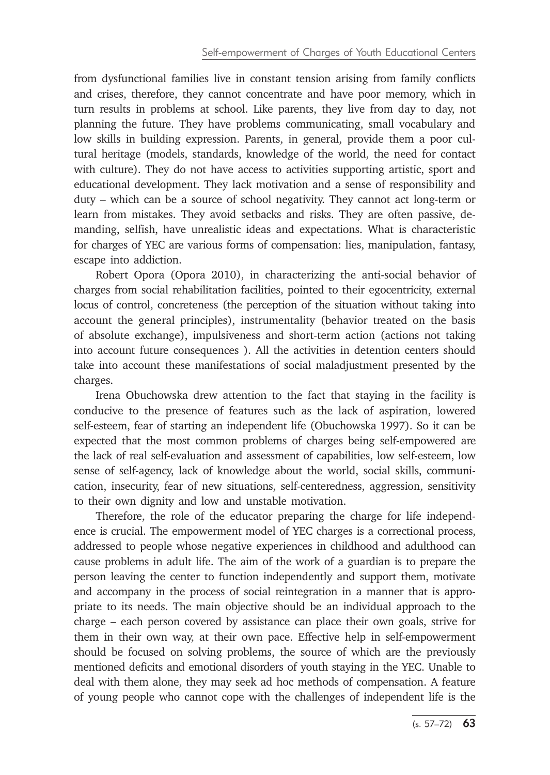from dysfunctional families live in constant tension arising from family conflicts and crises, therefore, they cannot concentrate and have poor memory, which in turn results in problems at school. Like parents, they live from day to day, not planning the future. They have problems communicating, small vocabulary and low skills in building expression. Parents, in general, provide them a poor cultural heritage (models, standards, knowledge of the world, the need for contact with culture). They do not have access to activities supporting artistic, sport and educational development. They lack motivation and a sense of responsibility and duty – which can be a source of school negativity. They cannot act long-term or learn from mistakes. They avoid setbacks and risks. They are often passive, demanding, selfish, have unrealistic ideas and expectations. What is characteristic for charges of YEC are various forms of compensation: lies, manipulation, fantasy, escape into addiction.

Robert Opora (Opora 2010), in characterizing the anti-social behavior of charges from social rehabilitation facilities, pointed to their egocentricity, external locus of control, concreteness (the perception of the situation without taking into account the general principles), instrumentality (behavior treated on the basis of absolute exchange), impulsiveness and short-term action (actions not taking into account future consequences ). All the activities in detention centers should take into account these manifestations of social maladjustment presented by the charges.

Irena Obuchowska drew attention to the fact that staying in the facility is conducive to the presence of features such as the lack of aspiration, lowered self-esteem, fear of starting an independent life (Obuchowska 1997). So it can be expected that the most common problems of charges being self-empowered are the lack of real self-evaluation and assessment of capabilities, low self-esteem, low sense of self-agency, lack of knowledge about the world, social skills, communication, insecurity, fear of new situations, self-centeredness, aggression, sensitivity to their own dignity and low and unstable motivation.

Therefore, the role of the educator preparing the charge for life independence is crucial. The empowerment model of YEC charges is a correctional process, addressed to people whose negative experiences in childhood and adulthood can cause problems in adult life. The aim of the work of a guardian is to prepare the person leaving the center to function independently and support them, motivate and accompany in the process of social reintegration in a manner that is appropriate to its needs. The main objective should be an individual approach to the charge – each person covered by assistance can place their own goals, strive for them in their own way, at their own pace. Effective help in self-empowerment should be focused on solving problems, the source of which are the previously mentioned deficits and emotional disorders of youth staying in the YEC. Unable to deal with them alone, they may seek ad hoc methods of compensation. A feature of young people who cannot cope with the challenges of independent life is the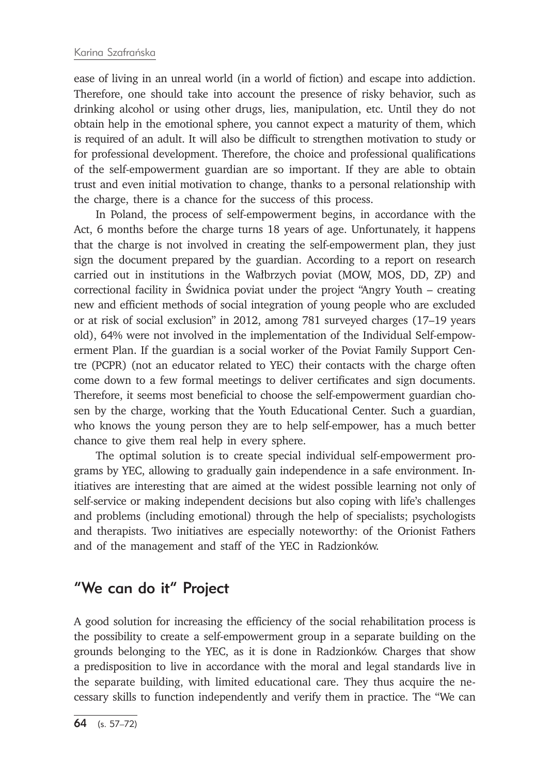ease of living in an unreal world (in a world of fiction) and escape into addiction. Therefore, one should take into account the presence of risky behavior, such as drinking alcohol or using other drugs, lies, manipulation, etc. Until they do not obtain help in the emotional sphere, you cannot expect a maturity of them, which is required of an adult. It will also be difficult to strengthen motivation to study or for professional development. Therefore, the choice and professional qualifications of the self-empowerment guardian are so important. If they are able to obtain trust and even initial motivation to change, thanks to a personal relationship with the charge, there is a chance for the success of this process.

In Poland, the process of self-empowerment begins, in accordance with the Act, 6 months before the charge turns 18 years of age. Unfortunately, it happens that the charge is not involved in creating the self-empowerment plan, they just sign the document prepared by the guardian. According to a report on research carried out in institutions in the Wałbrzych poviat (MOW, MOS, DD, ZP) and correctional facility in Świdnica poviat under the project "Angry Youth – creating new and efficient methods of social integration of young people who are excluded or at risk of social exclusion" in 2012, among 781 surveyed charges (17–19 years old), 64% were not involved in the implementation of the Individual Self-empowerment Plan. If the guardian is a social worker of the Poviat Family Support Centre (PCPR) (not an educator related to YEC) their contacts with the charge often come down to a few formal meetings to deliver certificates and sign documents. Therefore, it seems most beneficial to choose the self-empowerment guardian chosen by the charge, working that the Youth Educational Center. Such a guardian, who knows the young person they are to help self-empower, has a much better chance to give them real help in every sphere.

The optimal solution is to create special individual self-empowerment programs by YEC, allowing to gradually gain independence in a safe environment. Initiatives are interesting that are aimed at the widest possible learning not only of self-service or making independent decisions but also coping with life's challenges and problems (including emotional) through the help of specialists; psychologists and therapists. Two initiatives are especially noteworthy: of the Orionist Fathers and of the management and staff of the YEC in Radzionków.

## "We can do it" Project

A good solution for increasing the efficiency of the social rehabilitation process is the possibility to create a self-empowerment group in a separate building on the grounds belonging to the YEC, as it is done in Radzionków. Charges that show a predisposition to live in accordance with the moral and legal standards live in the separate building, with limited educational care. They thus acquire the necessary skills to function independently and verify them in practice. The "We can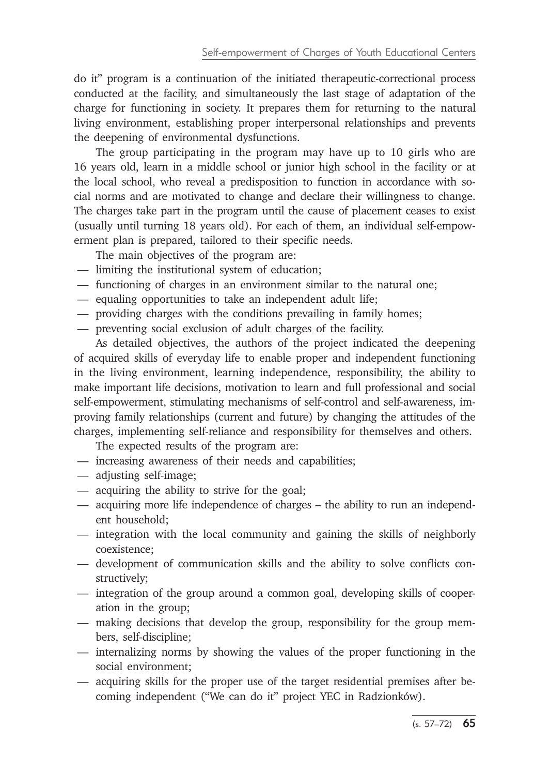do it" program is a continuation of the initiated therapeutic-correctional process conducted at the facility, and simultaneously the last stage of adaptation of the charge for functioning in society. It prepares them for returning to the natural living environment, establishing proper interpersonal relationships and prevents the deepening of environmental dysfunctions.

The group participating in the program may have up to 10 girls who are 16 years old, learn in a middle school or junior high school in the facility or at the local school, who reveal a predisposition to function in accordance with social norms and are motivated to change and declare their willingness to change. The charges take part in the program until the cause of placement ceases to exist (usually until turning 18 years old). For each of them, an individual self-empowerment plan is prepared, tailored to their specific needs.

- The main objectives of the program are:
- limiting the institutional system of education;
- functioning of charges in an environment similar to the natural one;
- equaling opportunities to take an independent adult life;
- providing charges with the conditions prevailing in family homes;
- preventing social exclusion of adult charges of the facility.

As detailed objectives, the authors of the project indicated the deepening of acquired skills of everyday life to enable proper and independent functioning in the living environment, learning independence, responsibility, the ability to make important life decisions, motivation to learn and full professional and social self-empowerment, stimulating mechanisms of self-control and self-awareness, improving family relationships (current and future) by changing the attitudes of the charges, implementing self-reliance and responsibility for themselves and others.

The expected results of the program are:

- increasing awareness of their needs and capabilities;
- adjusting self-image;
- acquiring the ability to strive for the goal;
- acquiring more life independence of charges the ability to run an independent household;
- integration with the local community and gaining the skills of neighborly coexistence;
- development of communication skills and the ability to solve conflicts constructively;
- integration of the group around a common goal, developing skills of cooperation in the group;
- making decisions that develop the group, responsibility for the group members, self-discipline;
- internalizing norms by showing the values of the proper functioning in the social environment;
- acquiring skills for the proper use of the target residential premises after becoming independent ("We can do it" project YEC in Radzionków).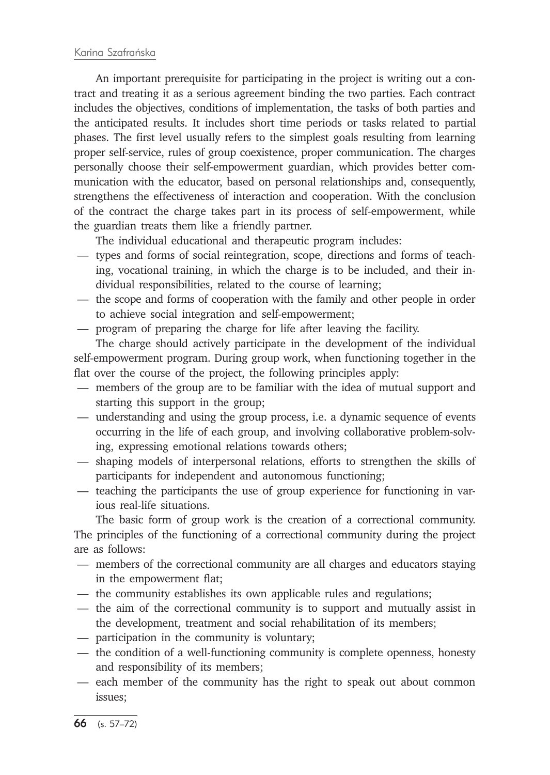An important prerequisite for participating in the project is writing out a contract and treating it as a serious agreement binding the two parties. Each contract includes the objectives, conditions of implementation, the tasks of both parties and the anticipated results. It includes short time periods or tasks related to partial phases. The first level usually refers to the simplest goals resulting from learning proper self-service, rules of group coexistence, proper communication. The charges personally choose their self-empowerment guardian, which provides better communication with the educator, based on personal relationships and, consequently, strengthens the effectiveness of interaction and cooperation. With the conclusion of the contract the charge takes part in its process of self-empowerment, while the guardian treats them like a friendly partner.

The individual educational and therapeutic program includes:

- types and forms of social reintegration, scope, directions and forms of teaching, vocational training, in which the charge is to be included, and their individual responsibilities, related to the course of learning;
- the scope and forms of cooperation with the family and other people in order to achieve social integration and self-empowerment;
- program of preparing the charge for life after leaving the facility.

The charge should actively participate in the development of the individual self-empowerment program. During group work, when functioning together in the flat over the course of the project, the following principles apply:

- members of the group are to be familiar with the idea of mutual support and starting this support in the group;
- understanding and using the group process, i.e. a dynamic sequence of events occurring in the life of each group, and involving collaborative problem-solving, expressing emotional relations towards others;
- shaping models of interpersonal relations, efforts to strengthen the skills of participants for independent and autonomous functioning;
- teaching the participants the use of group experience for functioning in various real-life situations.

The basic form of group work is the creation of a correctional community. The principles of the functioning of a correctional community during the project are as follows:

- members of the correctional community are all charges and educators staying in the empowerment flat;
- the community establishes its own applicable rules and regulations;
- the aim of the correctional community is to support and mutually assist in the development, treatment and social rehabilitation of its members;
- participation in the community is voluntary;
- the condition of a well-functioning community is complete openness, honesty and responsibility of its members;
- each member of the community has the right to speak out about common issues;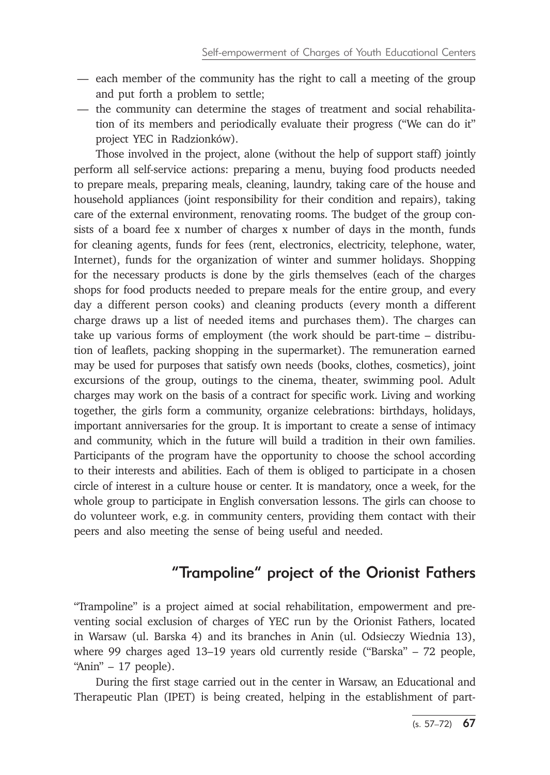- each member of the community has the right to call a meeting of the group and put forth a problem to settle;
- the community can determine the stages of treatment and social rehabilitation of its members and periodically evaluate their progress ("We can do it" project YEC in Radzionków).

Those involved in the project, alone (without the help of support staff) jointly perform all self-service actions: preparing a menu, buying food products needed to prepare meals, preparing meals, cleaning, laundry, taking care of the house and household appliances (joint responsibility for their condition and repairs), taking care of the external environment, renovating rooms. The budget of the group consists of a board fee x number of charges x number of days in the month, funds for cleaning agents, funds for fees (rent, electronics, electricity, telephone, water, Internet), funds for the organization of winter and summer holidays. Shopping for the necessary products is done by the girls themselves (each of the charges shops for food products needed to prepare meals for the entire group, and every day a different person cooks) and cleaning products (every month a different charge draws up a list of needed items and purchases them). The charges can take up various forms of employment (the work should be part-time – distribution of leaflets, packing shopping in the supermarket). The remuneration earned may be used for purposes that satisfy own needs (books, clothes, cosmetics), joint excursions of the group, outings to the cinema, theater, swimming pool. Adult charges may work on the basis of a contract for specific work. Living and working together, the girls form a community, organize celebrations: birthdays, holidays, important anniversaries for the group. It is important to create a sense of intimacy and community, which in the future will build a tradition in their own families. Participants of the program have the opportunity to choose the school according to their interests and abilities. Each of them is obliged to participate in a chosen circle of interest in a culture house or center. It is mandatory, once a week, for the whole group to participate in English conversation lessons. The girls can choose to do volunteer work, e.g. in community centers, providing them contact with their peers and also meeting the sense of being useful and needed.

## "Trampoline" project of the Orionist Fathers

"Trampoline" is a project aimed at social rehabilitation, empowerment and preventing social exclusion of charges of YEC run by the Orionist Fathers, located in Warsaw (ul. Barska 4) and its branches in Anin (ul. Odsieczy Wiednia 13), where 99 charges aged 13–19 years old currently reside ("Barska" – 72 people, "Anin" – 17 people).

During the first stage carried out in the center in Warsaw, an Educational and Therapeutic Plan (IPET) is being created, helping in the establishment of part-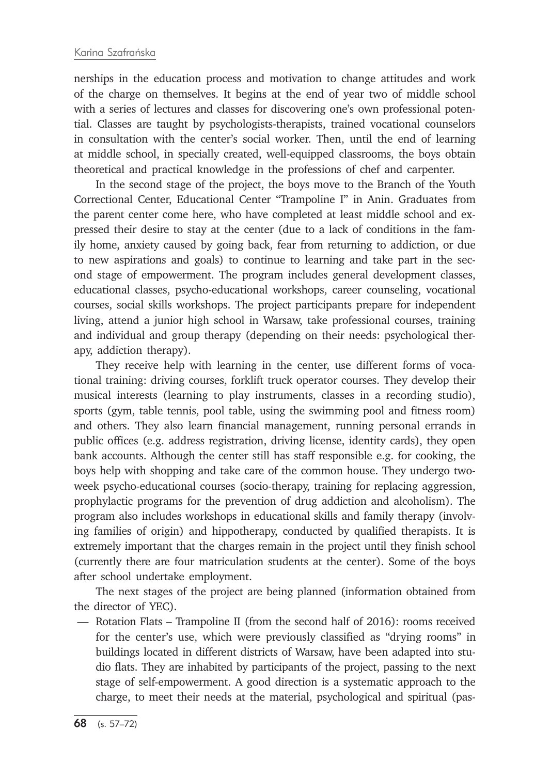nerships in the education process and motivation to change attitudes and work of the charge on themselves. It begins at the end of year two of middle school with a series of lectures and classes for discovering one's own professional potential. Classes are taught by psychologists-therapists, trained vocational counselors in consultation with the center's social worker. Then, until the end of learning at middle school, in specially created, well-equipped classrooms, the boys obtain theoretical and practical knowledge in the professions of chef and carpenter.

In the second stage of the project, the boys move to the Branch of the Youth Correctional Center, Educational Center "Trampoline I" in Anin. Graduates from the parent center come here, who have completed at least middle school and expressed their desire to stay at the center (due to a lack of conditions in the family home, anxiety caused by going back, fear from returning to addiction, or due to new aspirations and goals) to continue to learning and take part in the second stage of empowerment. The program includes general development classes, educational classes, psycho-educational workshops, career counseling, vocational courses, social skills workshops. The project participants prepare for independent living, attend a junior high school in Warsaw, take professional courses, training and individual and group therapy (depending on their needs: psychological therapy, addiction therapy).

They receive help with learning in the center, use different forms of vocational training: driving courses, forklift truck operator courses. They develop their musical interests (learning to play instruments, classes in a recording studio), sports (gym, table tennis, pool table, using the swimming pool and fitness room) and others. They also learn financial management, running personal errands in public offices (e.g. address registration, driving license, identity cards), they open bank accounts. Although the center still has staff responsible e.g. for cooking, the boys help with shopping and take care of the common house. They undergo twoweek psycho-educational courses (socio-therapy, training for replacing aggression, prophylactic programs for the prevention of drug addiction and alcoholism). The program also includes workshops in educational skills and family therapy (involving families of origin) and hippotherapy, conducted by qualified therapists. It is extremely important that the charges remain in the project until they finish school (currently there are four matriculation students at the center). Some of the boys after school undertake employment.

The next stages of the project are being planned (information obtained from the director of YEC).

— Rotation Flats – Trampoline II (from the second half of 2016): rooms received for the center's use, which were previously classified as "drying rooms" in buildings located in different districts of Warsaw, have been adapted into studio flats. They are inhabited by participants of the project, passing to the next stage of self-empowerment. A good direction is a systematic approach to the charge, to meet their needs at the material, psychological and spiritual (pas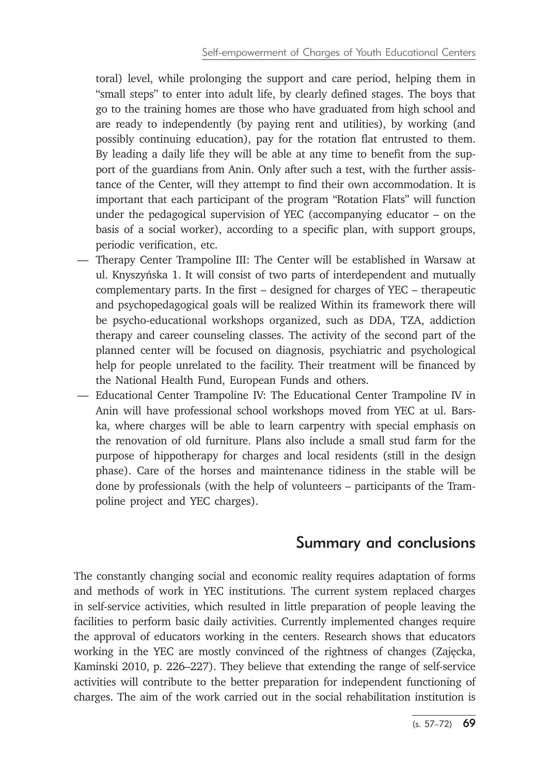toral) level, while prolonging the support and care period, helping them in "small steps" to enter into adult life, by clearly defined stages. The boys that go to the training homes are those who have graduated from high school and are ready to independently (by paying rent and utilities), by working (and possibly continuing education), pay for the rotation flat entrusted to them. By leading a daily life they will be able at any time to benefit from the support of the guardians from Anin. Only after such a test, with the further assistance of the Center, will they attempt to find their own accommodation. It is important that each participant of the program "Rotation Flats" will function under the pedagogical supervision of YEC (accompanying educator – on the basis of a social worker), according to a specific plan, with support groups, periodic verification, etc.

- Therapy Center Trampoline III: The Center will be established in Warsaw at ul. Knyszyńska 1. It will consist of two parts of interdependent and mutually complementary parts. In the first – designed for charges of YEC – therapeutic and psychopedagogical goals will be realized Within its framework there will be psycho-educational workshops organized, such as DDA, TZA, addiction therapy and career counseling classes. The activity of the second part of the planned center will be focused on diagnosis, psychiatric and psychological help for people unrelated to the facility. Their treatment will be financed by the National Health Fund, European Funds and others.
- Educational Center Trampoline IV: The Educational Center Trampoline IV in Anin will have professional school workshops moved from YEC at ul. Barska, where charges will be able to learn carpentry with special emphasis on the renovation of old furniture. Plans also include a small stud farm for the purpose of hippotherapy for charges and local residents (still in the design phase). Care of the horses and maintenance tidiness in the stable will be done by professionals (with the help of volunteers – participants of the Trampoline project and YEC charges).

## Summary and conclusions

The constantly changing social and economic reality requires adaptation of forms and methods of work in YEC institutions. The current system replaced charges in self-service activities, which resulted in little preparation of people leaving the facilities to perform basic daily activities. Currently implemented changes require the approval of educators working in the centers. Research shows that educators working in the YEC are mostly convinced of the rightness of changes (Zajęcka, Kaminski 2010, p. 226–227). They believe that extending the range of self-service activities will contribute to the better preparation for independent functioning of charges. The aim of the work carried out in the social rehabilitation institution is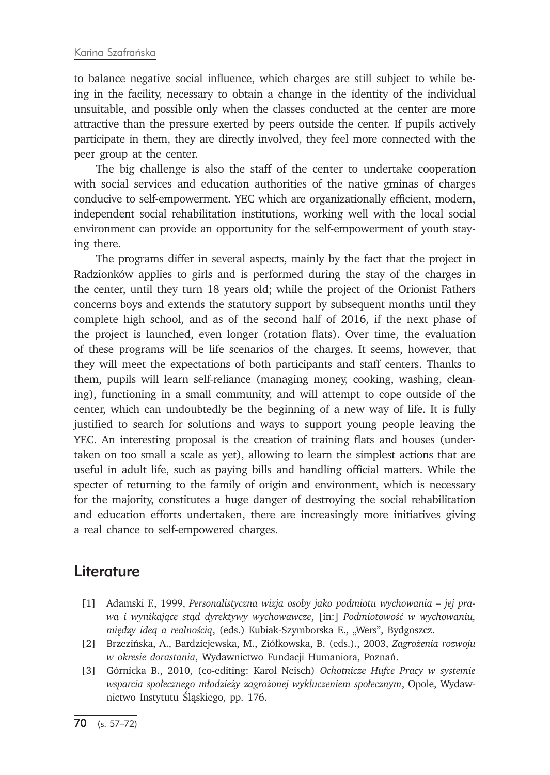to balance negative social influence, which charges are still subject to while being in the facility, necessary to obtain a change in the identity of the individual unsuitable, and possible only when the classes conducted at the center are more attractive than the pressure exerted by peers outside the center. If pupils actively participate in them, they are directly involved, they feel more connected with the peer group at the center.

The big challenge is also the staff of the center to undertake cooperation with social services and education authorities of the native gminas of charges conducive to self-empowerment. YEC which are organizationally efficient, modern, independent social rehabilitation institutions, working well with the local social environment can provide an opportunity for the self-empowerment of youth staying there.

The programs differ in several aspects, mainly by the fact that the project in Radzionków applies to girls and is performed during the stay of the charges in the center, until they turn 18 years old; while the project of the Orionist Fathers concerns boys and extends the statutory support by subsequent months until they complete high school, and as of the second half of 2016, if the next phase of the project is launched, even longer (rotation flats). Over time, the evaluation of these programs will be life scenarios of the charges. It seems, however, that they will meet the expectations of both participants and staff centers. Thanks to them, pupils will learn self-reliance (managing money, cooking, washing, cleaning), functioning in a small community, and will attempt to cope outside of the center, which can undoubtedly be the beginning of a new way of life. It is fully justified to search for solutions and ways to support young people leaving the YEC. An interesting proposal is the creation of training flats and houses (undertaken on too small a scale as yet), allowing to learn the simplest actions that are useful in adult life, such as paying bills and handling official matters. While the specter of returning to the family of origin and environment, which is necessary for the majority, constitutes a huge danger of destroying the social rehabilitation and education efforts undertaken, there are increasingly more initiatives giving a real chance to self-empowered charges.

### **Literature**

- [1] Adamski F., 1999, *Personalistyczna wizja osoby jako podmiotu wychowania jej prawa i wynikające stąd dyrektywy wychowawcze*, [in:] *Podmiotowość w wychowaniu, między ideą a realnością*, (eds.) Kubiak-Szymborska E., "Wers", Bydgoszcz.
- [2] Brzezińska, A., Bardziejewska, M., Ziółkowska, B. (eds.)., 2003, *Zagrożenia rozwoju w okresie dorastania*, Wydawnictwo Fundacji Humaniora, Poznań.
- [3] Górnicka B., 2010, (co-editing: Karol Neisch) *Ochotnicze Hufce Pracy w systemie wsparcia społecznego młodzieży zagrożonej wykluczeniem społecznym*, Opole, Wydawnictwo Instytutu Śląskiego, pp. 176.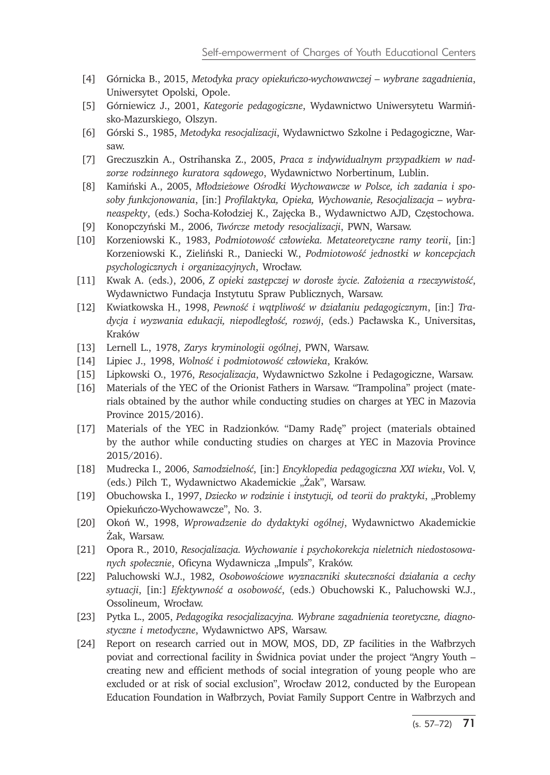- [4] Górnicka B., 2015, *Metodyka pracy opiekuńczo-wychowawczej wybrane zagadnienia*, Uniwersytet Opolski, Opole.
- [5] Górniewicz J., 2001, *Kategorie pedagogiczne*, Wydawnictwo Uniwersytetu Warmińsko-Mazurskiego, Olszyn.
- [6] Górski S., 1985, *Metodyka resocjalizacji*, Wydawnictwo Szkolne i Pedagogiczne, Warsaw.
- [7] Greczuszkin A., Ostrihanska Z., 2005, *Praca z indywidualnym przypadkiem w nadzorze rodzinnego kuratora sądowego*, Wydawnictwo Norbertinum, Lublin.
- [8] Kamiński A., 2005, *Młodzieżowe Ośrodki Wychowawcze w Polsce, ich zadania i sposoby funkcjonowania*, [in:] *Profilaktyka, Opieka, Wychowanie, Resocjalizacja – wybraneaspekty*, (eds.) Socha-Kołodziej K., Zajęcka B., Wydawnictwo AJD, Częstochowa.
- [9] Konopczyński M., 2006, *Twórcze metody resocjalizacji*, PWN, Warsaw.
- [10] Korzeniowski K., 1983, *Podmiotowość człowieka. Metateoretyczne ramy teorii*, [in:] Korzeniowski K., Zieliński R., Daniecki W., *Podmiotowość jednostki w koncepcjach psychologicznych i organizacyjnych*, Wrocław.
- [11] Kwak A. (eds.), 2006, *Z opieki zastępczej w dorosłe życie. Założenia a rzeczywistość*, Wydawnictwo Fundacja Instytutu Spraw Publicznych, Warsaw.
- [12] Kwiatkowska H., 1998, *Pewność i wątpliwość w działaniu pedagogicznym*, [in:] *Tradycja i wyzwania edukacji, niepodległość, rozwój*, (eds.) Pacławska K., Universitas**,**  Kraków
- [13] Lernell L., 1978, *Zarys kryminologii ogólnej*, PWN, Warsaw.
- [14] Lipiec J., 1998, *Wolność i podmiotowość człowieka*, Kraków.
- [15] Lipkowski O., 1976, *Resocjalizacja*, Wydawnictwo Szkolne i Pedagogiczne, Warsaw.
- [16] Materials of the YEC of the Orionist Fathers in Warsaw. "Trampolina" project (materials obtained by the author while conducting studies on charges at YEC in Mazovia Province 2015/2016).
- [17] Materials of the YEC in Radzionków. "Damy Radę" project (materials obtained by the author while conducting studies on charges at YEC in Mazovia Province 2015/2016).
- [18] Mudrecka I., 2006, *Samodzielność*, [in:] *Encyklopedia pedagogiczna XXI wieku*, Vol. V, (eds.) Pilch T., Wydawnictwo Akademickie "Żak", Warsaw.
- [19] Obuchowska I., 1997, *Dziecko w rodzinie i instytucji, od teorii do praktyki*, "Problemy Opiekuńczo-Wychowawcze", No. 3.
- [20] Okoń W., 1998, *Wprowadzenie do dydaktyki ogólnej*, Wydawnictwo Akademickie Żak, Warsaw.
- [21] Opora R., 2010, *Resocjalizacja. Wychowanie i psychokorekcja nieletnich niedostosowanych społecznie*, Oficyna Wydawnicza "Impuls", Kraków.
- [22] Paluchowski W.J., 1982, *Osobowościowe wyznaczniki skuteczności działania a cechy sytuacji*, [in:] *Efektywność a osobowość*, (eds.) Obuchowski K., Paluchowski W.J., Ossolineum, Wrocław.
- [23] Pytka L., 2005, *Pedagogika resocjalizacyjna. Wybrane zagadnienia teoretyczne, diagnostyczne i metodyczne*, Wydawnictwo APS, Warsaw.
- [24] Report on research carried out in MOW, MOS, DD, ZP facilities in the Wałbrzych poviat and correctional facility in Świdnica poviat under the project "Angry Youth – creating new and efficient methods of social integration of young people who are excluded or at risk of social exclusion", Wrocław 2012, conducted by the European Education Foundation in Wałbrzych, Poviat Family Support Centre in Wałbrzych and